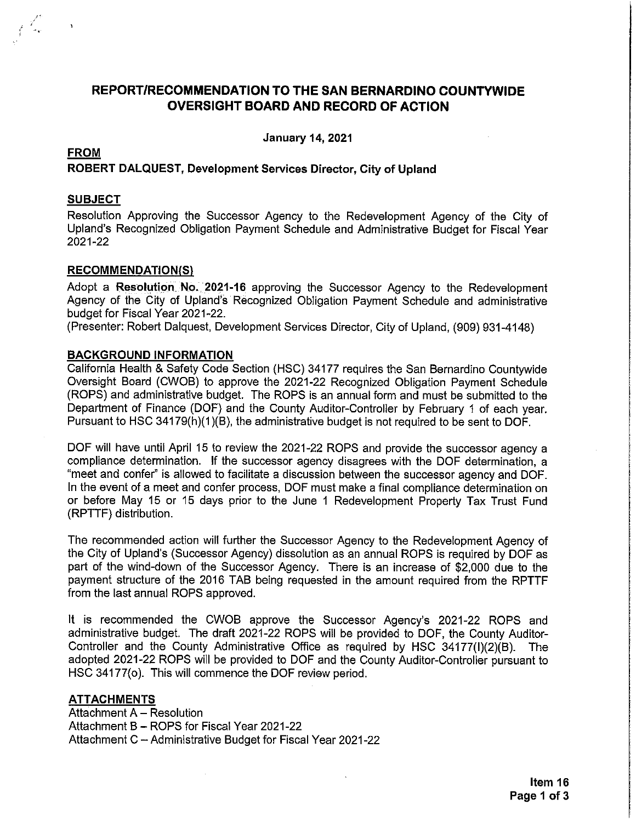## REPORT/RECOMMENDATION TO THE SAN BERNARDINO COUNTYWIDE **OVERSIGHT BOARD AND RECORD OF ACTION**

**January 14, 2021** 

## **FROM** ROBERT DALQUEST, Development Services Director, City of Upland

#### **SUBJECT**

Resolution Approving the Successor Agency to the Redevelopment Agency of the City of Upland's Recognized Obligation Payment Schedule and Administrative Budget for Fiscal Year 2021-22

#### **RECOMMENDATION(S)**

Adopt a Resolution No. 2021-16 approving the Successor Agency to the Redevelopment Agency of the City of Upland's Recognized Obligation Payment Schedule and administrative budget for Fiscal Year 2021-22.

(Presenter: Robert Dalquest, Development Services Director, City of Upland, (909) 931-4148)

#### **BACKGROUND INFORMATION**

California Health & Safety Code Section (HSC) 34177 requires the San Bernardino Countywide Oversight Board (CWOB) to approve the 2021-22 Recognized Obligation Payment Schedule (ROPS) and administrative budget. The ROPS is an annual form and must be submitted to the Department of Finance (DOF) and the County Auditor-Controller by February 1 of each year. Pursuant to HSC 34179(h)(1)(B), the administrative budget is not required to be sent to DOF.

DOF will have until April 15 to review the 2021-22 ROPS and provide the successor agency a compliance determination. If the successor agency disagrees with the DOF determination, a "meet and confer" is allowed to facilitate a discussion between the successor agency and DOF. In the event of a meet and confer process, DOF must make a final compliance determination on or before May 15 or 15 days prior to the June 1 Redevelopment Property Tax Trust Fund (RPTTF) distribution.

The recommended action will further the Successor Agency to the Redevelopment Agency of the City of Upland's (Successor Agency) dissolution as an annual ROPS is required by DOF as part of the wind-down of the Successor Agency. There is an increase of \$2,000 due to the payment structure of the 2016 TAB being requested in the amount required from the RPTTF from the last annual ROPS approved.

It is recommended the CWOB approve the Successor Agency's 2021-22 ROPS and administrative budget. The draft 2021-22 ROPS will be provided to DOF, the County Auditor-Controller and the County Administrative Office as required by HSC 34177(I)(2)(B). The adopted 2021-22 ROPS will be provided to DOF and the County Auditor-Controller pursuant to HSC 34177(o). This will commence the DOF review period.

#### **ATTACHMENTS**

Attachment A - Resolution Attachment B - ROPS for Fiscal Year 2021-22 Attachment C - Administrative Budget for Fiscal Year 2021-22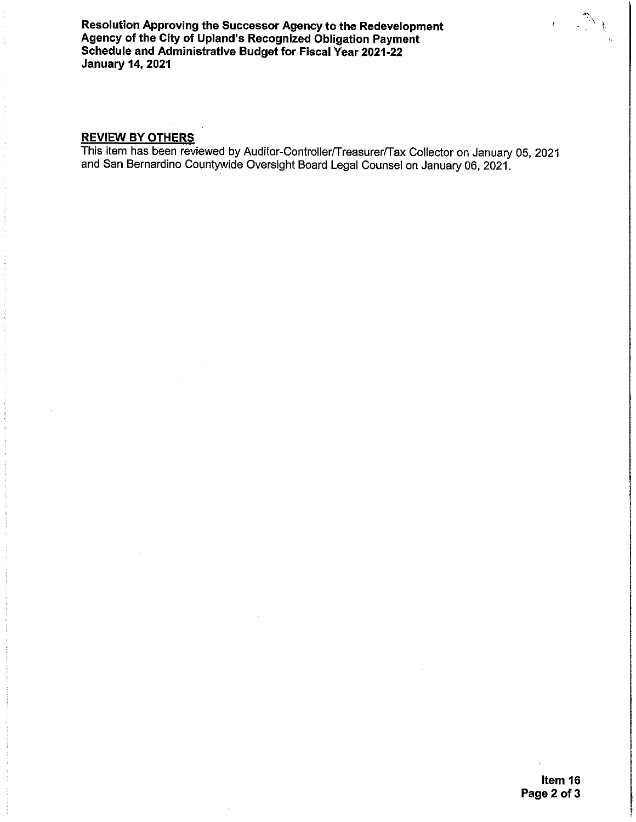Resolution Approving the Successor Agency to the Redevelopment Agency of the City of Upland's Recognized Obligation Payment Schedule and Administrative Budget for Fiscal Year 2021-22 **January 14, 2021** 

## **REVIEW BY OTHERS**

This item has been reviewed by Auditor-Controller/Treasurer/Tax Collector on January 05, 2021 and San Bernardino Countywide Oversight Board Legal Counsel on January 06, 2021.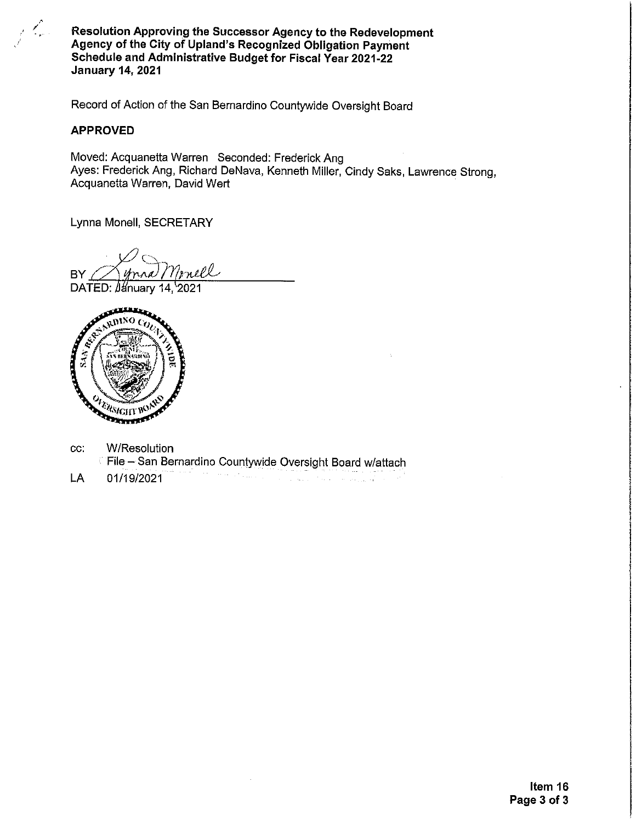Resolution Approving the Successor Agency to the Redevelopment Agency of the City of Upland's Recognized Obligation Payment Schedule and Administrative Budget for Fiscal Year 2021-22 **January 14, 2021** 

Record of Action of the San Bernardino Countywide Oversight Board

#### **APPROVED**

Moved: Acquanetta Warren Seconded: Frederick Ang Ayes: Frederick Ang, Richard DeNava, Kenneth Miller, Cindy Saks, Lawrence Strong, Acquanetta Warren, David Wert

Lynna Monell, SECRETARY

mell **BY** DATED: January 14, 2021



- W/Resolution CC: File - San Bernardino Countywide Oversight Board w/attach
- 01/19/2021 LA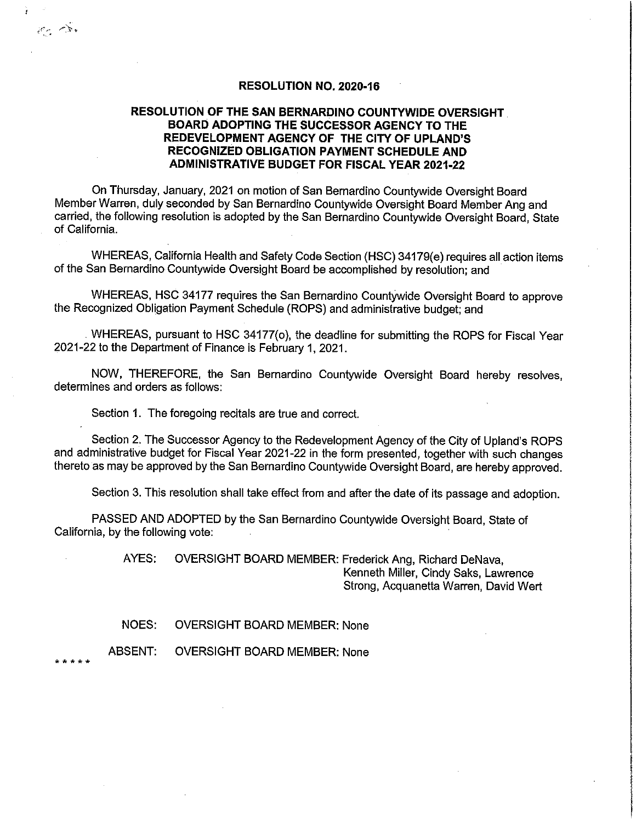#### RESOLUTION NO. 2020-16

### RESOLUTION OF THE SAN BERNARDINO COUNTYWIDE OVERSIGHT BOARD ADOPTING THE SUCCESSOR AGENCY TO THE REDEVELOPMENT AGENCY OF THE CITY OF UPLAND'S RECOGNIZED OBLIGATION PAYMENT SCHEDULE AND **ADMINISTRATIVE BUDGET FOR FISCAL YEAR 2021-22**

On Thursday, January, 2021 on motion of San Bernardino Countywide Oversight Board Member Warren, duly seconded by San Bernardino Countywide Oversight Board Member Ang and carried, the following resolution is adopted by the San Bernardino Countywide Oversight Board, State of California.

WHEREAS, California Health and Safety Code Section (HSC) 34179(e) requires all action items of the San Bernardino Countywide Oversight Board be accomplished by resolution; and

WHEREAS, HSC 34177 requires the San Bernardino Countywide Oversight Board to approve the Recognized Obligation Payment Schedule (ROPS) and administrative budget; and

WHEREAS, pursuant to HSC 34177(o), the deadline for submitting the ROPS for Fiscal Year 2021-22 to the Department of Finance is February 1, 2021.

NOW, THEREFORE, the San Bernardino Countywide Oversight Board hereby resolves, determines and orders as follows:

Section 1. The foregoing recitals are true and correct.

Section 2. The Successor Agency to the Redevelopment Agency of the City of Upland's ROPS and administrative budget for Fiscal Year 2021-22 in the form presented, together with such changes thereto as may be approved by the San Bernardino Countywide Oversight Board, are hereby approved.

Section 3. This resolution shall take effect from and after the date of its passage and adoption.

PASSED AND ADOPTED by the San Bernardino Countywide Oversight Board, State of California, by the following vote:

> AYES: OVERSIGHT BOARD MEMBER: Frederick Ang, Richard DeNava, Kenneth Miller, Cindy Saks, Lawrence Strong, Acquanetta Warren, David Wert

NOES. **OVERSIGHT BOARD MEMBER: None** 

**ABSENT: OVERSIGHT BOARD MEMBER: None** 

 $+ + +$ 

 $\mathcal{L}_{\mathcal{L}}$  . The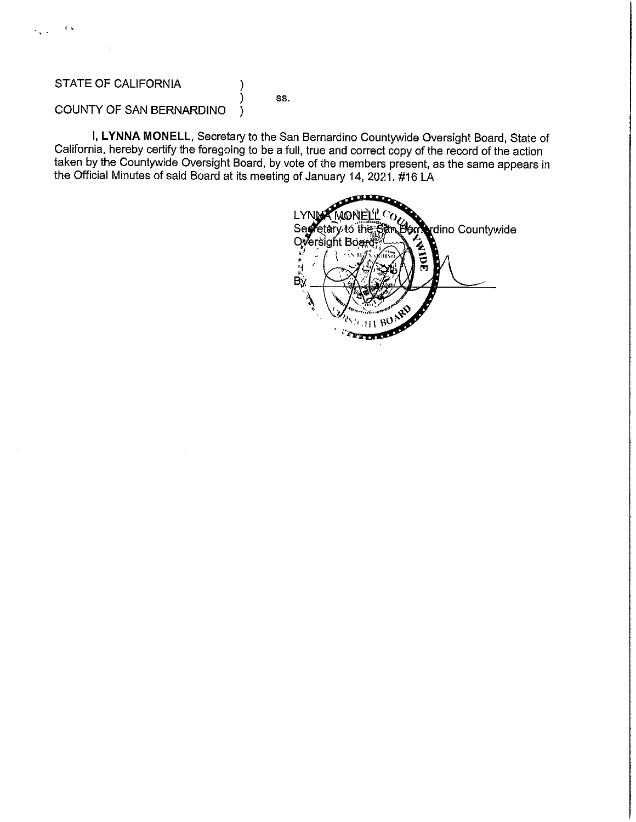λ,

 $\sim$ 

SS.

#### COUNTY OF SAN BERNARDINO )

I, LYNNA MONELL, Secretary to the San Bernardino Countywide Oversight Board, State of California, hereby certify the foregoing to be a full, true and correct copy of the record of the action taken by the Countywide Oversight Board, by vote of the members present, as the same appears in the Official Minutes of said Board at its meeting of January 14, 2021. #16 LA

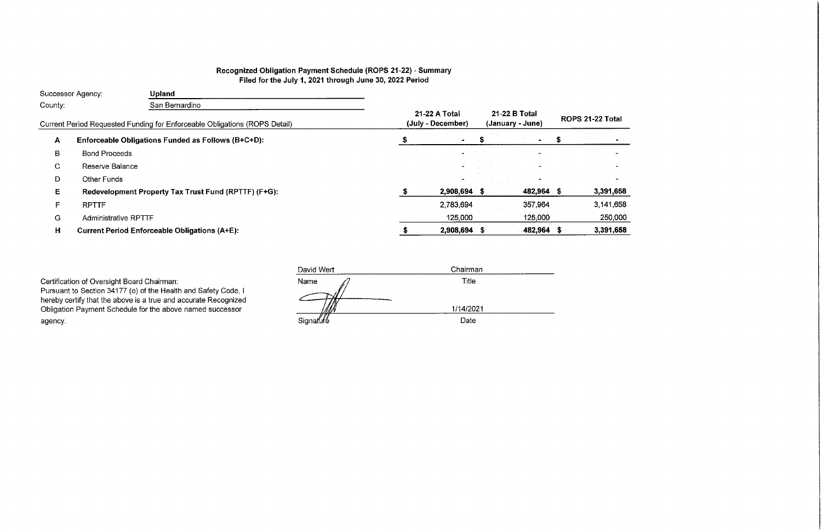# Recognized Obligation Payment Schedule (ROPS 21-22) - Summary Filed for the July 1, 2021 through June 30, 2022 Period

|                           | Successor Agency:           | <b>Upland</b>                                                              |                                    |               |                  |                     |
|---------------------------|-----------------------------|----------------------------------------------------------------------------|------------------------------------|---------------|------------------|---------------------|
| San Bernardino<br>County: |                             |                                                                            |                                    |               |                  |                     |
|                           |                             | Current Period Requested Funding for Enforceable Obligations (ROPS Detail) | 21-22 A Total<br>(July - December) | 21-22 B Total | (January - June) | <b>ROPS 21-22 1</b> |
| $\mathbf{A}$              |                             | Enforceable Obligations Funded as Follows (B+C+D):                         |                                    |               |                  |                     |
| в                         | <b>Bond Proceeds</b>        |                                                                            |                                    |               |                  |                     |
| C                         | Reserve Balance             |                                                                            |                                    |               |                  |                     |
| D                         | Other Funds                 |                                                                            |                                    |               |                  |                     |
| Е                         |                             | Redevelopment Property Tax Trust Fund (RPTTF) (F+G):                       | 2,908,694 \$                       |               | 482,964 \$       | 3,39                |
| F                         | <b>RPTTF</b>                |                                                                            | 2,783,694                          |               | 357,964          | 3,14                |
| G                         | <b>Administrative RPTTF</b> |                                                                            | 125,000                            |               | 125,000          | 25                  |
| H                         |                             | <b>Current Period Enforceable Obligations (A+E):</b>                       | 2,908,694 \$                       |               | 482,964 \$       | 3,39                |
|                           |                             |                                                                            |                                    |               |                  |                     |

Certification of Oversight Board Chairman:<br>Pursuant to Section 34177 (o) of the Health and Safety Code, I hereby certify that the above is a true and accurate Recognized<br>Obligation Payment Schedule for the above named successor agency.

 $\mathcal{L} = \{ \mathbf{e}_1, \ldots, \mathbf{e}_n \}$ 

| David Wert | Chairman  |  |
|------------|-----------|--|
| Name       | Title     |  |
|            |           |  |
|            | 1/14/2021 |  |
| Signature  | Date      |  |

# ? Total

 $\sim 10^{-1}$ 

| 391,658 |  |
|---------|--|
| 141,658 |  |

250,000

391,658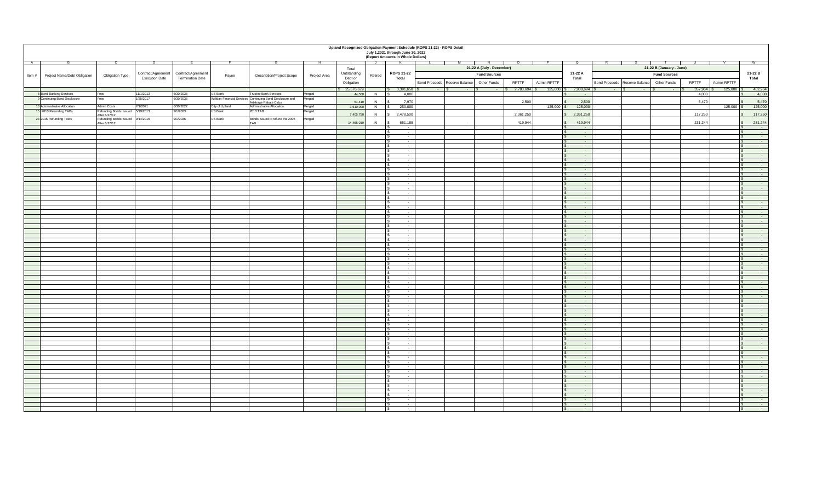|                                        |                                                   |                       |                                         |                           |                                                           |                  |                          |         | July 1,2021 through June 30, 2022<br>(Report Amounts in Whole Dollars) | Upland Recognized Obligation Payment Schedule (ROPS 21-22) - ROPS Detail |                           |                |                |                                                      |                                            |                     |                                  |                                                    |
|----------------------------------------|---------------------------------------------------|-----------------------|-----------------------------------------|---------------------------|-----------------------------------------------------------|------------------|--------------------------|---------|------------------------------------------------------------------------|--------------------------------------------------------------------------|---------------------------|----------------|----------------|------------------------------------------------------|--------------------------------------------|---------------------|----------------------------------|----------------------------------------------------|
| <b>A</b>                               |                                                   | - 12                  |                                         |                           |                                                           |                  | $\sim$ 1                 |         | <b>N</b>                                                               |                                                                          |                           |                |                | U                                                    |                                            |                     |                                  |                                                    |
|                                        |                                                   |                       | Contract/Agreement   Contract/Agreement |                           |                                                           |                  | Total<br>Outstanding     |         | <b>ROPS 21-22</b>                                                      |                                                                          | 21-22 A (July - December) |                |                | 21-22 A                                              | 21-22 B (January - June)                   |                     |                                  | 21-22 B                                            |
| Project Name/Debt Obligation<br>Item # | <b>Obligation Type</b>                            | <b>Execution Date</b> | <b>Termination Date</b>                 | Payee                     | <b>Description/Project Scope</b>                          | Project Area     | Debt or                  | Retired | <b>Total</b>                                                           |                                                                          | <b>Fund Sources</b>       |                |                | <b>Total</b>                                         |                                            | <b>Fund Sources</b> |                                  | <b>Total</b>                                       |
|                                        |                                                   |                       |                                         |                           |                                                           |                  | Obligation               |         |                                                                        | Bond Proceeds   Reserve Balance                                          | <b>Other Funds</b>        | <b>RPTTF</b>   | Admin RPTTF    |                                                      | Bond Proceeds   Reserve Balance            | <b>Other Funds</b>  | <b>RPTTF</b><br>Admin RPTTF      |                                                    |
| 8 Bond Banking Services                |                                                   | 11/1/2013             | 6/30/2036                               | US Bank                   | <b>Trustee Bank Services</b>                              |                  | $\frac{1}{8}$ 25,576,679 |         | \$3,391,658                                                            | - 15<br>$\sim 100$ m $^{-1}$                                             | $\sim$ $ \sim$            | $2,783,694$ \$ | $125,000$   \$ | $2,908,694$ \$                                       | <b>Contract Contract</b><br><b>Service</b> | $\sim$ $ \sim$      | $125,000$   \$<br>$357,964$ \ \$ | 482,964                                            |
| 9 Continuing Bond Disclosure           | Fees<br>Fees                                      | 1/25/2017             | 6/30/2036                               |                           | Willdan Financial Services Continuing Bond Disclosure and | Merged<br>Merged | 44,500                   |         | 4,000                                                                  |                                                                          |                           |                |                |                                                      |                                            |                     | 4,000                            | 4,000                                              |
| 10 Administrative Allocation           | Admin Costs                                       | 7/1/2021              | 6/30/2022                               |                           | Arbitrage Rebate Calcs<br>Administrative Allocation       |                  | 51,410                   |         | 7,970                                                                  |                                                                          |                           | 2,500          |                | 2,500                                                |                                            |                     | 5,470                            | 5,470<br>125,000                                   |
| 15 2013 Refunding TABs                 | Refunding Bonds Issued 5/19/2013                  |                       | 9/1/2023                                | City of Upland<br>US Bank | 2013 TAB                                                  | Merged<br>Merged | 3,610,000                |         | 250,000                                                                |                                                                          |                           |                | $125,000$ \$   | 125,000                                              |                                            |                     | $125,000$ \$                     |                                                    |
|                                        | After 6/27/12<br>Refunding Bonds Issued 9/14/2016 |                       |                                         |                           |                                                           |                  | 7,405,750                |         | 2,478,500                                                              |                                                                          |                           | 2,361,250      |                | 2,361,250                                            |                                            |                     | 117,250                          | 117,250                                            |
| 23 2016 Refunding TABs                 | After 6/27/12                                     |                       | 9/1/2036                                | <b>US Bank</b>            | Bonds issued to refund the 2006<br>TAB                    | Merged           | 14,465,019               |         | 651,188                                                                | $\sim$                                                                   |                           | 419,944        |                | 419,944                                              |                                            |                     | 231,244                          | 231,244                                            |
|                                        |                                                   |                       |                                         |                           |                                                           |                  |                          |         | $\sim$                                                                 |                                                                          |                           |                |                | $\sim$ $-$                                           |                                            |                     |                                  | $\sim$ $-$<br>I C                                  |
|                                        |                                                   |                       |                                         |                           |                                                           |                  |                          |         | $\sim$<br>$\sim$                                                       |                                                                          |                           |                |                | $\sim 100$ m $^{-1}$<br>$\sim 100$                   |                                            |                     |                                  | $\sim 100$ m $^{-1}$<br>$\sim 100$                 |
|                                        |                                                   |                       |                                         |                           |                                                           |                  |                          |         | $\sim$                                                                 |                                                                          |                           |                |                | $\sim 100$ km s $^{-1}$                              |                                            |                     |                                  | $\sim 100$ m $^{-1}$                               |
|                                        |                                                   |                       |                                         |                           |                                                           |                  |                          |         | $\sim$ 100 $\sim$                                                      |                                                                          |                           |                |                | $\sim 100$ m $^{-1}$                                 |                                            |                     |                                  | $\sim$ 100 $\sim$                                  |
|                                        |                                                   |                       |                                         |                           |                                                           |                  |                          |         | $\sim$<br>$\sim$ $-$                                                   |                                                                          |                           |                |                | $\sim 100$ m $^{-1}$<br>$\sim 100$ m $^{-1}$         |                                            |                     |                                  | <b>Service</b><br>$\sim$                           |
|                                        |                                                   |                       |                                         |                           |                                                           |                  |                          |         | $\sim$                                                                 |                                                                          |                           |                |                | $\sim 100$ m $^{-1}$                                 |                                            |                     |                                  |                                                    |
|                                        |                                                   |                       |                                         |                           |                                                           |                  |                          |         | $\sim 100$                                                             |                                                                          |                           |                |                | $\sim$ 100 $\sim$                                    |                                            |                     |                                  | $\sim 100$ m $^{-1}$                               |
|                                        |                                                   |                       |                                         |                           |                                                           |                  |                          |         | $\sim$<br>$\sim$                                                       |                                                                          |                           |                |                | $\sim 100$ m $^{-1}$<br>$\sim 100$ m $^{-1}$         |                                            |                     |                                  | $\sim$ $-$<br>$\sim$ $-$                           |
|                                        |                                                   |                       |                                         |                           |                                                           |                  |                          |         | $\sim$                                                                 |                                                                          |                           |                |                | $\sim 100$ m $^{-1}$                                 |                                            |                     |                                  | $\sim$ 100 $\sim$                                  |
|                                        |                                                   |                       |                                         |                           |                                                           |                  |                          |         | $\sim$                                                                 |                                                                          |                           |                |                | $\sim$ $-$                                           |                                            |                     |                                  | $\sim 100$ m $^{-1}$                               |
|                                        |                                                   |                       |                                         |                           |                                                           |                  |                          |         | $\sim$                                                                 |                                                                          |                           |                |                | $\sim$ $-$                                           |                                            |                     |                                  |                                                    |
|                                        |                                                   |                       |                                         |                           |                                                           |                  |                          |         | $\sim$ $-$                                                             |                                                                          |                           |                |                | <b>Service</b> Construction                          |                                            |                     |                                  |                                                    |
|                                        |                                                   |                       |                                         |                           |                                                           |                  |                          |         | $\sim$                                                                 |                                                                          |                           |                |                | $\sim$ $-$                                           |                                            |                     |                                  |                                                    |
|                                        |                                                   |                       |                                         |                           |                                                           |                  |                          |         | <b>Service</b><br>$\sim$                                               |                                                                          |                           |                |                | <b>Service Contract</b><br><b>State State</b>        |                                            |                     |                                  |                                                    |
|                                        |                                                   |                       |                                         |                           |                                                           |                  |                          |         | $\sim$ 100 $-$ 100 $-$                                                 |                                                                          |                           |                |                | <b>Contract Contract</b>                             |                                            |                     |                                  |                                                    |
|                                        |                                                   |                       |                                         |                           |                                                           |                  |                          |         | $\sim$ $-$                                                             |                                                                          |                           |                |                | <b>State State</b>                                   |                                            |                     |                                  |                                                    |
|                                        |                                                   |                       |                                         |                           |                                                           |                  |                          |         | $\sim$ $-$<br>$\sim$ $\sim$                                            |                                                                          |                           |                |                | <b>Contract Contract</b><br><b>State State</b>       |                                            |                     |                                  |                                                    |
|                                        |                                                   |                       |                                         |                           |                                                           |                  |                          |         | $\sim$ $-$                                                             |                                                                          |                           |                |                | <b>Contract Contract</b>                             |                                            |                     |                                  |                                                    |
|                                        |                                                   |                       |                                         |                           |                                                           |                  |                          |         | $\sim$ $-$<br>$\sim$ $-$                                               |                                                                          |                           |                |                | $\sim 100$ km s $^{-1}$<br>$\sim$ 100 $-$ 100 $-$    |                                            |                     |                                  |                                                    |
|                                        |                                                   |                       |                                         |                           |                                                           |                  |                          |         | $\sim$ $\sim$                                                          |                                                                          |                           |                |                | <b>Contract Contract</b>                             |                                            |                     |                                  |                                                    |
|                                        |                                                   |                       |                                         |                           |                                                           |                  |                          |         | $\sim$                                                                 |                                                                          |                           |                |                | <b>Contract Contract</b>                             |                                            |                     |                                  |                                                    |
|                                        |                                                   |                       |                                         |                           |                                                           |                  |                          |         | $\sim$ $-$<br>$\sim$ $-$                                               |                                                                          |                           |                |                | $\sim 100$ km s $^{-1}$<br>$\sim 100$ m $^{-1}$      |                                            |                     |                                  |                                                    |
|                                        |                                                   |                       |                                         |                           |                                                           |                  |                          |         | $\sim$ $-$                                                             |                                                                          |                           |                |                | <b>Contract Contract</b>                             |                                            |                     |                                  |                                                    |
|                                        |                                                   |                       |                                         |                           |                                                           |                  |                          |         | $\sim$ $-$                                                             |                                                                          |                           |                |                | $\sim$ 100 $\sim$ 100 $\sim$                         |                                            |                     |                                  |                                                    |
|                                        |                                                   |                       |                                         |                           |                                                           |                  |                          |         | $\sim$ $-$<br>$\sim$ $-$                                               |                                                                          |                           |                |                | <b>Service Contracts</b><br>$\sim 100$ m $^{-1}$     |                                            |                     |                                  |                                                    |
|                                        |                                                   |                       |                                         |                           |                                                           |                  |                          |         | $\sim 100$ m $^{-1}$                                                   |                                                                          |                           |                |                | <b>Service State</b>                                 |                                            |                     |                                  |                                                    |
|                                        |                                                   |                       |                                         |                           |                                                           |                  |                          |         | $\sim$ $-$                                                             |                                                                          |                           |                |                | <b>Service Contract</b>                              |                                            |                     |                                  |                                                    |
|                                        |                                                   |                       |                                         |                           |                                                           |                  |                          |         | <b>Service</b>                                                         |                                                                          |                           |                |                | $\sim$ $-$<br><b>Service Contract</b>                |                                            |                     |                                  |                                                    |
|                                        |                                                   |                       |                                         |                           |                                                           |                  |                          |         | $\sim$                                                                 |                                                                          |                           |                |                | $\sim 100$ m $^{-1}$                                 |                                            |                     |                                  |                                                    |
|                                        |                                                   |                       |                                         |                           |                                                           |                  |                          |         | $\sim 100$ m $^{-1}$                                                   |                                                                          |                           |                |                | <b>Contract Contract</b>                             |                                            |                     |                                  |                                                    |
|                                        |                                                   |                       |                                         |                           |                                                           |                  |                          |         | $\sim$ $-$                                                             |                                                                          |                           |                |                | <b>State State</b><br><b>Contract Contract</b>       |                                            |                     |                                  |                                                    |
|                                        |                                                   |                       |                                         |                           |                                                           |                  |                          |         | $\sim$ $\sim$                                                          |                                                                          |                           |                |                | <b>Contract Contract</b>                             |                                            |                     |                                  |                                                    |
|                                        |                                                   |                       |                                         |                           |                                                           |                  |                          |         | $\sim$ $-$                                                             |                                                                          |                           |                |                | $\sim 100$ m $^{-1}$                                 |                                            |                     |                                  |                                                    |
|                                        |                                                   |                       |                                         |                           |                                                           |                  |                          |         |                                                                        |                                                                          |                           |                |                |                                                      |                                            |                     |                                  |                                                    |
|                                        |                                                   |                       |                                         |                           |                                                           |                  |                          |         | $\sim$ $\sim$                                                          |                                                                          |                           |                |                | <b>State State</b>                                   |                                            |                     |                                  | $\sim 100$ m $^{-1}$                               |
|                                        |                                                   |                       |                                         |                           |                                                           |                  |                          |         | $\sim$ $-$<br>$\sim 100$ m $^{-1}$                                     |                                                                          |                           |                |                | <b>Contract Contract</b><br><b>Contract Contract</b> |                                            |                     |                                  |                                                    |
|                                        |                                                   |                       |                                         |                           |                                                           |                  |                          |         | $\sim$ $-$                                                             |                                                                          |                           |                |                | $\sim 100$ km s $^{-1}$                              |                                            |                     |                                  |                                                    |
|                                        |                                                   |                       |                                         |                           |                                                           |                  |                          |         | $\sim$ $-$                                                             |                                                                          |                           |                |                | $\sim$ 100 $-$ 100 $-$                               |                                            |                     |                                  |                                                    |
|                                        |                                                   |                       |                                         |                           |                                                           |                  |                          |         | $\sim$ $\sim$<br>$\sim$ $-$                                            |                                                                          |                           |                |                | $\sim$ 100 $\sim$ 100 $\sim$<br><b>State State</b>   |                                            |                     |                                  | $\sim$ 100 $\pm$ 100 $\pm$                         |
|                                        |                                                   |                       |                                         |                           |                                                           |                  |                          |         | $\sim$ 100 $\sim$                                                      |                                                                          |                           |                |                | $\sim 100$ m $^{-1}$                                 |                                            |                     |                                  | $\sim 100$ km s $^{-1}$                            |
|                                        |                                                   |                       |                                         |                           |                                                           |                  |                          |         | $\sim$ $-$                                                             |                                                                          |                           |                |                | <b>Contract Contract</b>                             |                                            |                     |                                  |                                                    |
|                                        |                                                   |                       |                                         |                           |                                                           |                  |                          |         | $\sim$ $-$<br>$\overline{\phantom{0}}$                                 |                                                                          |                           |                |                | $\sim 100$ m $^{-1}$<br>$\sim$ $-$                   |                                            |                     |                                  |                                                    |
|                                        |                                                   |                       |                                         |                           |                                                           |                  |                          |         | $\sim$ $-$                                                             |                                                                          |                           |                |                | <b>Contract Contract</b>                             |                                            |                     |                                  |                                                    |
|                                        |                                                   |                       |                                         |                           |                                                           |                  |                          |         | $\sim$ $-$                                                             |                                                                          |                           |                |                | $\sim$ 100 $-$ 100 $-$                               |                                            |                     |                                  |                                                    |
|                                        |                                                   |                       |                                         |                           |                                                           |                  |                          |         | $\sim 100$ m $^{-1}$                                                   |                                                                          |                           |                |                | <b>State State</b><br>$\sim$ $-$                     |                                            |                     |                                  | $\sim$ 100 $\pm$ 100 $\pm$<br>$\sim 100$ m $^{-1}$ |
|                                        |                                                   |                       |                                         |                           |                                                           |                  |                          |         |                                                                        |                                                                          |                           |                |                |                                                      |                                            |                     |                                  |                                                    |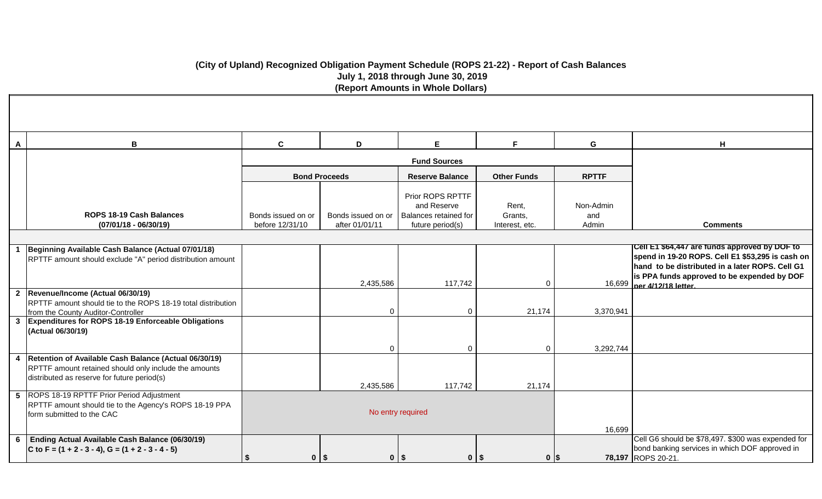# **(City of Upland) Recognized Obligation Payment Schedule (ROPS 21-22) - Report of Cash Balances July 1, 2018 through June 30, 2019 (Report Amounts in Whole Dollars)**

| A | В                                                                                                                                                                 | $\mathbf c$         | D                    | E                                                        | F.                 | G                | н                                                                                                                                                                                                   |
|---|-------------------------------------------------------------------------------------------------------------------------------------------------------------------|---------------------|----------------------|----------------------------------------------------------|--------------------|------------------|-----------------------------------------------------------------------------------------------------------------------------------------------------------------------------------------------------|
|   |                                                                                                                                                                   |                     |                      | <b>Fund Sources</b>                                      |                    |                  |                                                                                                                                                                                                     |
|   |                                                                                                                                                                   |                     | <b>Bond Proceeds</b> | <b>Reserve Balance</b>                                   | <b>Other Funds</b> | <b>RPTTF</b>     |                                                                                                                                                                                                     |
|   | ROPS 18-19 Cash Balances                                                                                                                                          | Bonds issued on or  | Bonds issued on or   | Prior ROPS RPTTF<br>and Reserve<br>Balances retained for | Rent,<br>Grants,   | Non-Admin<br>and |                                                                                                                                                                                                     |
|   | $(07/01/18 - 06/30/19)$                                                                                                                                           | before 12/31/10     | after 01/01/11       | future period(s)                                         | Interest, etc.     | Admin            | <b>Comments</b>                                                                                                                                                                                     |
|   | Beginning Available Cash Balance (Actual 07/01/18)<br>RPTTF amount should exclude "A" period distribution amount                                                  |                     | 2,435,586            | 117,742                                                  | 0                  |                  | Cell E1 \$64,447 are funds approved by DOF to<br>spend in 19-20 ROPS. Cell E1 \$53,295 is cash on<br>hand to be distributed in a later ROPS. Cell G1<br>is PPA funds approved to be expended by DOF |
|   | 2 Revenue/Income (Actual 06/30/19)<br>RPTTF amount should tie to the ROPS 18-19 total distribution<br>from the County Auditor-Controller                          |                     | $\Omega$             | $\Omega$                                                 | 21,174             | 3,370,941        | 16,699 ner 4/12/18 letter                                                                                                                                                                           |
|   | 3 Expenditures for ROPS 18-19 Enforceable Obligations<br>(Actual 06/30/19)                                                                                        |                     | $\Omega$             | $\Omega$                                                 | $\Omega$           | 3,292,744        |                                                                                                                                                                                                     |
|   | 4   Retention of Available Cash Balance (Actual 06/30/19)<br>RPTTF amount retained should only include the amounts<br>distributed as reserve for future period(s) |                     | 2,435,586            | 117,742                                                  | 21,174             |                  |                                                                                                                                                                                                     |
|   | 5 ROPS 18-19 RPTTF Prior Period Adjustment<br>RPTTF amount should tie to the Agency's ROPS 18-19 PPA<br>form submitted to the CAC                                 |                     |                      | No entry required                                        |                    | 16,699           |                                                                                                                                                                                                     |
|   | 6 Ending Actual Available Cash Balance (06/30/19)<br>$C$ to F = (1 + 2 - 3 - 4), G = (1 + 2 - 3 - 4 - 5)                                                          | $0$   $\frac{2}{3}$ |                      | $0$   \$<br>$0$   $\frac{2}{3}$                          | 0 <sup>15</sup>    |                  | Cell G6 should be \$78,497. \$300 was expended for<br>bond banking services in which DOF approved in<br>78,197 ROPS 20-21.                                                                          |